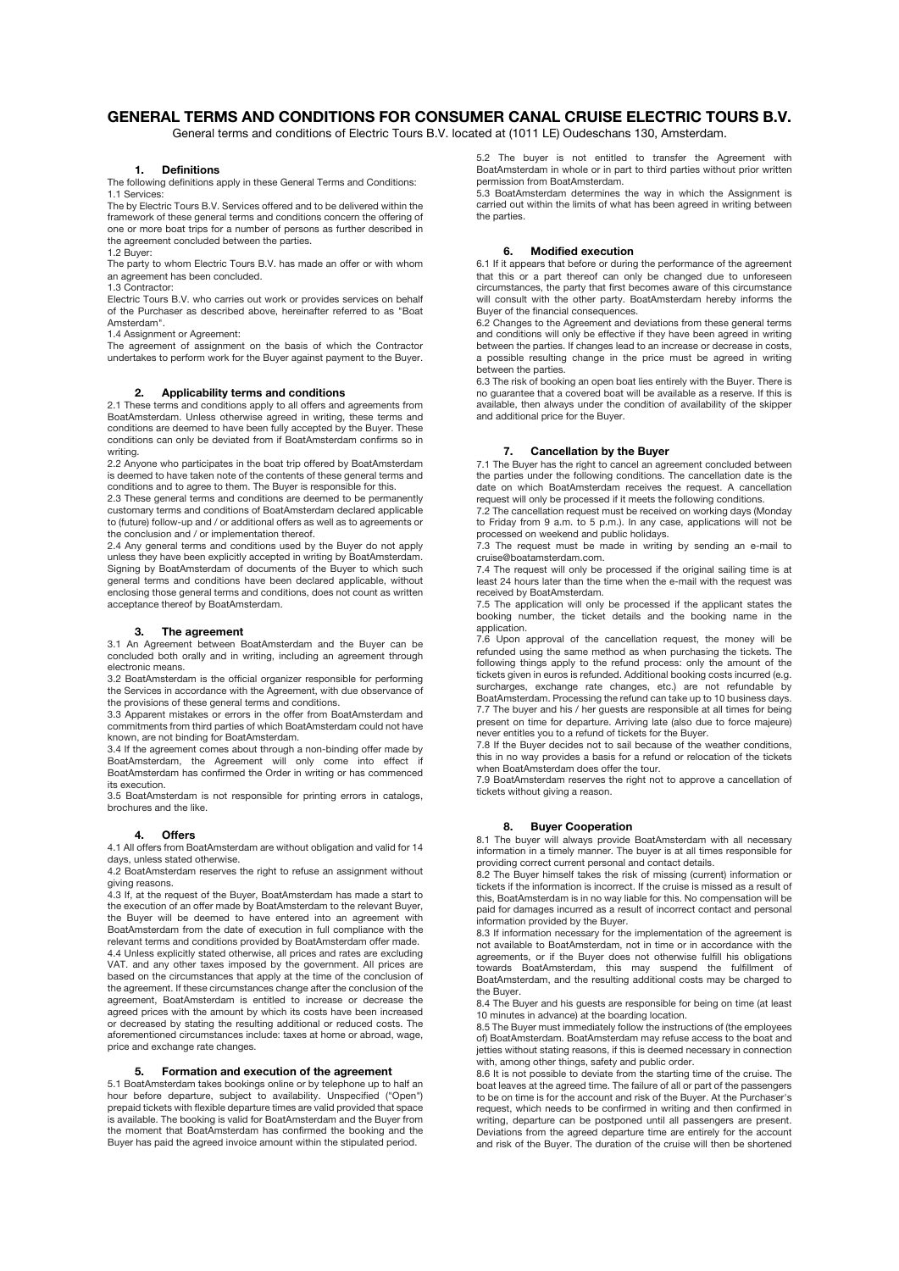# **GENERAL TERMS AND CONDITIONS FOR CONSUMER CANAL CRUISE ELECTRIC TOURS B.V.**

General terms and conditions of Electric Tours B.V. located at (1011 LE) Oudeschans 130, Amsterdam.

## **1. Definitions**

The following definitions apply in these General Terms and Conditions: 1.1 Services:

The by Electric Tours B.V. Services offered and to be delivered within the framework of these general terms and conditions concern the offering of one or more boat trips for a number of persons as further described in the agreement concluded between the parties.

1.2 Buyer:

The party to whom Electric Tours B.V. has made an offer or with whom an agreement has been concluded.

1.3 Contractor:

Electric Tours B.V. who carries out work or provides services on behalf of the Purchaser as described above, hereinafter referred to as "Boat Amsterdam".

1.4 Assignment or Agreement:

The agreement of assignment on the basis of which the Contractor undertakes to perform work for the Buyer against payment to the Buyer.

### **2. Applicability terms and conditions**

2.1 These terms and conditions apply to all offers and agreements from BoatAmsterdam. Unless otherwise agreed in writing, these terms and conditions are deemed to have been fully accepted by the Buyer. These conditions can only be deviated from if BoatAmsterdam confirms so in writing.

2.2 Anyone who participates in the boat trip offered by BoatAmsterdam is deemed to have taken note of the contents of these general terms and conditions and to agree to them. The Buyer is responsible for this.

2.3 These general terms and conditions are deemed to be permanently customary terms and conditions of BoatAmsterdam declared applicable to (future) follow-up and / or additional offers as well as to agreements or the conclusion and / or implementation thereof.

2.4 Any general terms and conditions used by the Buyer do not apply unless they have been explicitly accepted in writing by BoatAmsterdam. Signing by BoatAmsterdam of documents of the Buyer to which such general terms and conditions have been declared applicable, without enclosing those general terms and conditions, does not count as written acceptance thereof by BoatAmsterdam.

### **3. The agreement**

3.1 An Agreement between BoatAmsterdam and the Buyer can be concluded both orally and in writing, including an agreement through electronic means.

3.2 BoatAmsterdam is the official organizer responsible for performing the Services in accordance with the Agreement, with due observance of the provisions of these general terms and conditions.

3.3 Apparent mistakes or errors in the offer from BoatAmsterdam and commitments from third parties of which BoatAmsterdam could not have known, are not binding for BoatAmsterdam.

3.4 If the agreement comes about through a non-binding offer made by BoatAmsterdam, the Agreement will only come into effect if BoatAmsterdam has confirmed the Order in writing or has commenced its execution.

3.5 BoatAmsterdam is not responsible for printing errors in catalogs, brochures and the like.

### **4. Offers**

4.1 All offers from BoatAmsterdam are without obligation and valid for 14 days, unless stated otherwise.

4.2 BoatAmsterdam reserves the right to refuse an assignment without giving reasons.

4.3 If, at the request of the Buyer, BoatAmsterdam has made a start to the execution of an offer made by BoatAmsterdam to the relevant Buyer, the Buyer will be deemed to have entered into an agreement with BoatAmsterdam from the date of execution in full compliance with the relevant terms and conditions provided by BoatAmsterdam offer made. 4.4 Unless explicitly stated otherwise, all prices and rates are excluding VAT. and any other taxes imposed by the government. All prices are based on the circumstances that apply at the time of the conclusion of the agreement. If these circumstances change after the conclusion of the agreement, BoatAmsterdam is entitled to increase or decrease the agreed prices with the amount by which its costs have been increased or decreased by stating the resulting additional or reduced costs. The aforementioned circumstances include: taxes at home or abroad, wage, price and exchange rate changes.

### **5. Formation and execution of the agreement**

5.1 BoatAmsterdam takes bookings online or by telephone up to half an hour before departure, subject to availability. Unspecified ("Open") prepaid tickets with flexible departure times are valid provided that space is available. The booking is valid for BoatAmsterdam and the Buyer from the moment that BoatAmsterdam has confirmed the booking and the Buyer has paid the agreed invoice amount within the stipulated period.

5.2 The buyer is not entitled to transfer the Agreement with BoatAmsterdam in whole or in part to third parties without prior written permission from BoatAmsterdam.

5.3 BoatAmsterdam determines the way in which the Assignment is carried out within the limits of what has been agreed in writing between the parties.

#### **6. Modified execution**

6.1 If it appears that before or during the performance of the agreement that this or a part thereof can only be changed due to unforeseen circumstances, the party that first becomes aware of this circumstance will consult with the other party. BoatAmsterdam hereby informs the Buyer of the financial consequences.

6.2 Changes to the Agreement and deviations from these general terms and conditions will only be effective if they have been agreed in writing between the parties. If changes lead to an increase or decrease in costs, a possible resulting change in the price must be agreed in writing between the parties.

6.3 The risk of booking an open boat lies entirely with the Buyer. There is no guarantee that a covered boat will be available as a reserve. If this is available, then always under the condition of availability of the skipper and additional price for the Buyer.

# **7. Cancellation by the Buyer**

7.1 The Buyer has the right to cancel an agreement concluded between the parties under the following conditions. The cancellation date is the date on which BoatAmsterdam receives the request. A cancellation request will only be processed if it meets the following conditions.

7.2 The cancellation request must be received on working days (Monday to Friday from 9 a.m. to 5 p.m.). In any case, applications will not be processed on weekend and public holidays.

7.3 The request must be made in writing by sending an e-mail to cruise@boatamsterdam.com.

7.4 The request will only be processed if the original sailing time is at least 24 hours later than the time when the e-mail with the request was received by BoatAmsterdam.

7.5 The application will only be processed if the applicant states the booking number, the ticket details and the booking name in the application.

7.6 Upon approval of the cancellation request, the money will be refunded using the same method as when purchasing the tickets. The following things apply to the refund process: only the amount of the tickets given in euros is refunded. Additional booking costs incurred (e.g. surcharges, exchange rate changes, etc.) are not refundable by BoatAmsterdam. Processing the refund can take up to 10 business days. 7.7 The buyer and his / her guests are responsible at all times for being present on time for departure. Arriving late (also due to force majeure) never entitles you to a refund of tickets for the Buyer.

7.8 If the Buyer decides not to sail because of the weather conditions, this in no way provides a basis for a refund or relocation of the tickets when BoatAmsterdam does offer the tour.

7.9 BoatAmsterdam reserves the right not to approve a cancellation of tickets without giving a reason.

#### **8. Buyer Cooperation**

8.1 The buyer will always provide BoatAmsterdam with all necessary information in a timely manner. The buyer is at all times responsible for providing correct current personal and contact details.

8.2 The Buyer himself takes the risk of missing (current) information or tickets if the information is incorrect. If the cruise is missed as a result of this, BoatAmsterdam is in no way liable for this. No compensation will be paid for damages incurred as a result of incorrect contact and personal information provided by the Buyer.

8.3 If information necessary for the implementation of the agreement is not available to BoatAmsterdam, not in time or in accordance with the agreements, or if the Buyer does not otherwise fulfill his obligations towards BoatAmsterdam, this may suspend the fulfillment of BoatAmsterdam, and the resulting additional costs may be charged to the Buyer.

8.4 The Buyer and his guests are responsible for being on time (at least 10 minutes in advance) at the boarding location. 8.5 The Buyer must immediately follow the instructions of (the employees

of) BoatAmsterdam. BoatAmsterdam may refuse access to the boat and jetties without stating reasons, if this is deemed necessary in connection with, among other things, safety and public order.

8.6 It is not possible to deviate from the starting time of the cruise. The boat leaves at the agreed time. The failure of all or part of the passengers to be on time is for the account and risk of the Buyer. At the Purchaser's request, which needs to be confirmed in writing and then confirmed in writing, departure can be postponed until all passengers are present. Deviations from the agreed departure time are entirely for the account and risk of the Buyer. The duration of the cruise will then be shortened